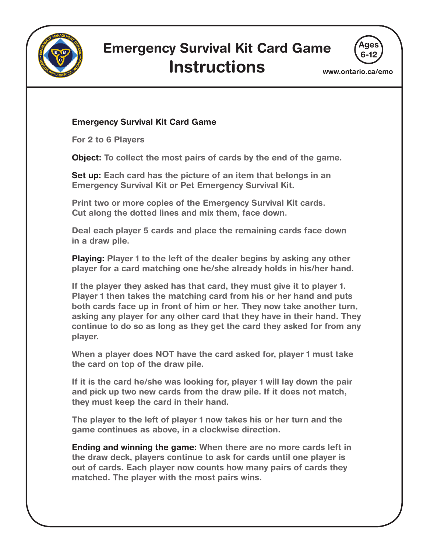

## **Emergency Survival Kit Card Game Instructions**



**www.ontario.ca/emo**

## **Emergency Survival Kit Card Game**

**For 2 to 6 Players**

**Object: To collect the most pairs of cards by the end of the game.** 

**Set up: Each card has the picture of an item that belongs in an Emergency Survival Kit or Pet Emergency Survival Kit.** 

**Print two or more copies of the Emergency Survival Kit cards. Cut along the dotted lines and mix them, face down.**

**Deal each player 5 cards and place the remaining cards face down in a draw pile.** 

**Playing: Player 1 to the left of the dealer begins by asking any other player for a card matching one he/she already holds in his/her hand.** 

**If the player they asked has that card, they must give it to player 1. Player 1 then takes the matching card from his or her hand and puts both cards face up in front of him or her. They now take another turn, asking any player for any other card that they have in their hand. They continue to do so as long as they get the card they asked for from any player.**

**When a player does NOT have the card asked for, player 1 must take the card on top of the draw pile.** 

**If it is the card he/she was looking for, player 1 will lay down the pair and pick up two new cards from the draw pile. If it does not match, they must keep the card in their hand.**

**The player to the left of player 1 now takes his or her turn and the game continues as above, in a clockwise direction.**

**Ending and winning the game: When there are no more cards left in the draw deck, players continue to ask for cards until one player is out of cards. Each player now counts how many pairs of cards they matched. The player with the most pairs wins.**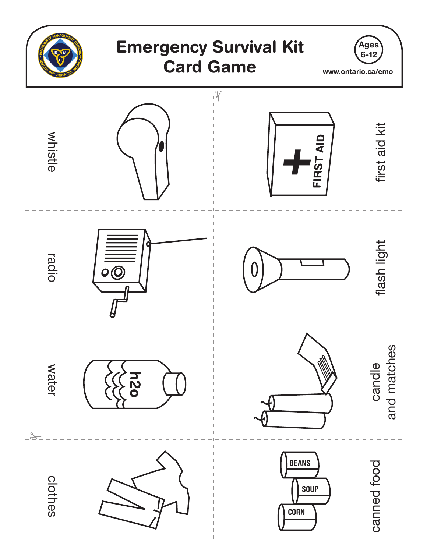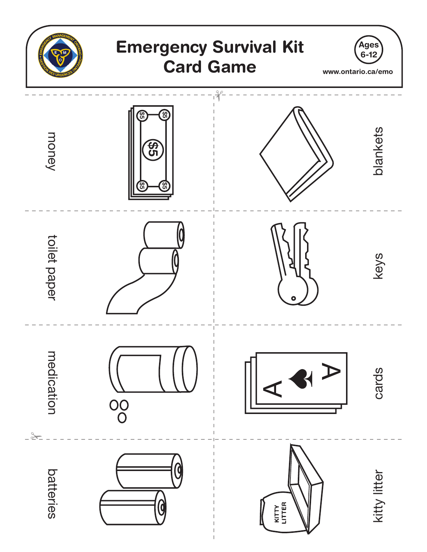